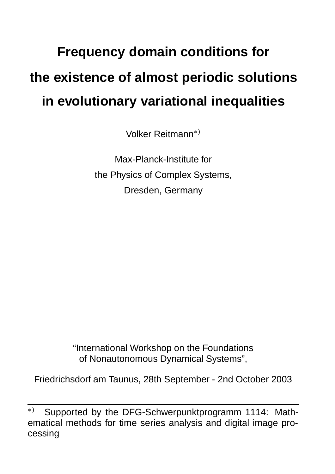## **Frequency domain conditions for the existence of almost periodic solutions in evolutionary variational inequalities**

Volker Reitmann

Max-Planck-Institute for the Physics of Complex Systems, Dresden, Germany

"International Workshop on the Foundations of Nonautonomous Dynamical Systems",

Friedrichsdorf am Taunus, 28th September - 2nd October 2003

<sup>\*)</sup> Supported by the DFG-Schwerpunktprogramm 1114: Mathematical methods for time series analysis and digital image processing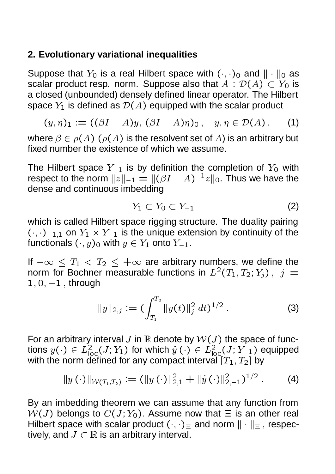## **2. Evolutionary variational inequalities**

Suppose that  $Y_0$  is a real Hilbert space with  $(\cdot, \cdot)_0$  and  $\|\cdot\|_0$  as scalar product resp.\_norm.\_Suppose also that  $A$  :  $\mathcal{D}(A)\subset Y_0$  is a closed (unbounded) densely defined linear operator. The Hilbert space  $Y_1$  is defined as  $\mathcal{D}(A)$  equipped with the scalar product

$$
(y,\eta)_1 := ((\beta I - A)y, (\beta I - A)\eta)_0, \quad y,\eta \in \mathcal{D}(A), \quad (1)
$$

where  $\beta \in \rho(A)$   $(\rho(A)$  is the resolvent set of  $A)$  is an arbitrary but fixed number the existence of which we assume.

The Hilbert space  $Y_{-1}$  is by definition the completion of  $Y_0$  with respect to the norm  $||z||_{-1} = ||(\beta I - A)^{-1}z||_0$ . Thus we have the dense and continuous imbedding

$$
Y_1 \subset Y_0 \subset Y_{-1} \tag{2}
$$

which is called Hilbert space rigging structure. The duality pairing  $(\cdot,\cdot)_{-1,1}$  on  $Y_1 \times Y_{-1}$  is the unique extension by continuity of the functionals  $(\cdot,y)_0$  with  $y\in Y_1$  onto  $Y_{-1}.$ 

If  $-\infty \leq T_1 < T_2 \leq +\infty$  are arbitrary numbers, we define the norm for Bochner measurable functions in  $L^2(T_1,T_2;Y_j)\, ,\; j\,=\,$  $1, 0, -1$ , through

$$
||y||_{2,j} := (\int_{T_1}^{T_2} ||y(t)||_j^2 dt)^{1/2} . \tag{3}
$$

For an arbitrary interval J in  $\mathbb R$  denote by  $\mathcal W(J)$  the space of functions  $y(\cdot)\in L^2_{\text{loc}}(J;Y_1)$  for which  $y\left(\cdot\right)\in L^2_{\text{loc}}(J;Y_{-1})$  equipped with the norm defined for any compact interval  $[T_1,T_2]$  by

$$
||y(\cdot)||_{\mathcal{W}(T_1,T_2)} := (||y(\cdot)||_{2,1}^2 + ||y(\cdot)||_{2,-1}^2)^{1/2}.
$$
 (4)

By an imbedding theorem we can assume that any function from  $W(J)$  belongs to  $C(J; Y_0)$ . Assume now that  $\Xi$  is an other real Hilbert space with scalar product  $(\cdot, \cdot)_{\equiv}$  and norm  $\|\cdot\|_{\equiv}$ , respectively, and  $J \subset \mathbb{R}$  is an arbitrary interval.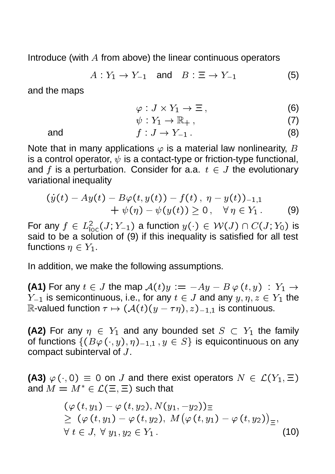Introduce (with  $A$  from above) the linear continuous operators

$$
A: Y_1 \to Y_{-1} \quad \text{and} \quad B: \Xi \to Y_{-1} \tag{5}
$$

and the maps

$$
\varphi: J \times Y_1 \to \Xi, \tag{6}
$$

$$
\psi: Y_1 \to \mathbb{R}_+, \tag{7}
$$

and 
$$
f: J \to Y_{-1}
$$
. (8)

Note that in many applications  $\varphi$  is a material law nonlinearity, B is a control operator,  $\psi$  is a contact-type or friction-type functional, and f is a perturbation. Consider for a.a.  $t \in J$  the evolutionary variational inequality

$$
(y(t) - Ay(t) - B\varphi(t, y(t)) - f(t), \ \eta - y(t))_{-1,1} + \psi(\eta) - \psi(y(t)) \ge 0, \quad \forall \, \eta \in Y_1.
$$
 (9)

For any  $f\, \in\, L^2_{\mathsf{loc}}(J;Y_{-1})$  a function  $y(\cdot)\, \in\, \mathcal{W}(J)\cap C(J;Y_0)$  is said to be a solution of (9) if this inequality is satisfied for all test functions  $\eta \in Y_1.$ 

In addition, we make the following assumptions.

**(A1)** For any  $t \in J$  the map  $\mathcal{A}(t)y := -Ay - B\,\varphi\,(t,y) \,:\, Y_1 \to \,$  $Y_{-1}$  is semicontinuous, i.e., for any  $t \in J$  and any  $y, \eta, z \in Y_1$  the R-valued function  $\tau \mapsto (\mathcal{A}(t)(y - \tau \eta), z)_{-1,1}$  is continuous.

**(A2)** For any  $\eta \in Y_1$  and any bounded set  $S \subset Y_1$  the family of functions  $\{(B\varphi(\cdot,y),\eta)_{-1,1}\,,y\in S\}$  is equicontinuous on any compact subinterval of  $J$ .

**(A3)**  $\varphi$   $(\cdot, 0) \equiv 0$  on J and there exist operators  $N \in \mathcal{L}(Y_1, \Xi)$ and  $M = M^* \in \mathcal{L}(\Xi,\Xi)$  such that

$$
(\varphi(t, y_1) - \varphi(t, y_2), N(y_1, -y_2)) \equiv \geq (\varphi(t, y_1) - \varphi(t, y_2), M(\varphi(t, y_1) - \varphi(t, y_2)) \equiv \forall t \in J, \forall y_1, y_2 \in Y_1.
$$
\n(10)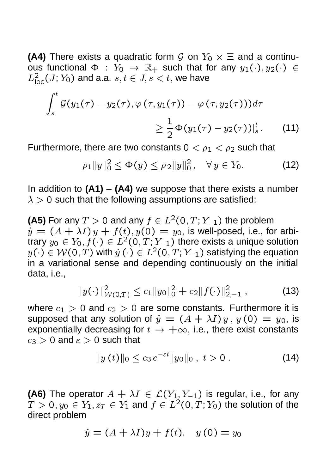**(A4)** There exists a quadratic form  $\mathcal{G}$  on  $Y_0 \times \Xi$  and a continuous functional  $\Phi$  :  $Y_0$   $\;\rightarrow$   $\;\mathbb{R}_+$  such that for any  $y_1(\cdot),y_2(\cdot)\;\in$  $L_{\mathsf{loc}}^2(J;Y_0)$  and a.a.  $s,t\in J, s< t,$  we have

$$
\int_{s}^{t} \mathcal{G}(y_1(\tau) - y_2(\tau), \varphi(\tau, y_1(\tau)) - \varphi(\tau, y_2(\tau)))d\tau
$$
  

$$
\geq \frac{1}{2} \Phi(y_1(\tau) - y_2(\tau))|_{s}^{t}.
$$
 (11)

Furthermore, there are two constants  $0 < \rho_1 < \rho_2$  such that

$$
\rho_1 \|y\|_0^2 \le \Phi(y) \le \rho_2 \|y\|_0^2, \quad \forall \, y \in Y_0. \tag{12}
$$

In addition to **(A1)** – **(A4)** we suppose that there exists a number  $\lambda > 0$  such that the following assumptions are satisfied:

**(A5)** For any  $T > 0$  and any  $f \in L^2(0, T; Y_{-1})$  the problem  $y = (A + \lambda I)y + f(t), y(0) = y_0$ , is well-posed, i.e., for arbitrary  $y_0\in Y_0, f(\cdot)\in L^2(0,T;Y_{-1})$  there exists a unique solution  $y(\cdot)\in \mathcal{W}(\mathsf{0},T)$  with  $y\left(\cdot\right)\in L^2(\mathsf{0},T;Y_{-1})$  satisfying the equation in a variational sense and depending continuously on the initial data, i.e.,

$$
||y(\cdot)||_{W(0,T)}^2 \le c_1 ||y_0||_0^2 + c_2 ||f(\cdot)||_{2,-1}^2 , \qquad (13)
$$

where  $c_1 > 0$  and  $c_2 > 0$  are some constants. Furthermore it is supposed that any solution of  $\dot{y} \, = \, (A + \lambda I) \, y \, , \, y \, (0) \, = \, y_{0},$  is exponentially decreasing for  $t\to +\infty$ , i.e., there exist constants  $c_3 > 0$  and  $\varepsilon > 0$  such that

$$
||y(t)||_0 \le c_3 e^{-\varepsilon t} ||y_0||_0, \ t > 0.
$$
 (14)

**(A6)** The operator  $A + \lambda I \in \mathcal{L}(Y_1, Y_{-1})$  is regular, i.e., for any  $T>0, y_0\in Y_1, z_T\in Y_1$  and  $f\in L^2(0,T;Y_0)$  the solution of the direct problem

$$
\dot{y} = (A + \lambda I)y + f(t), \quad y(0) = y_0
$$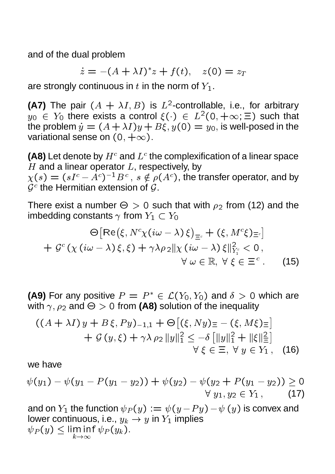and of the dual problem

$$
\dot{z} = -(A + \lambda I)^* z + f(t), \quad z(0) = z_T
$$

are strongly continuous in  $t$  in the norm of  $Y_1$ .

**(A7)** The pair  $(A + \lambda I, B)$  is  $L^2$ -controllable, i.e., for arbitrary  $y_0 \in Y_0$  there exists a control  $\xi(\cdot) \in L^2(0, +\infty; \Xi)$  such that the problem  $\dot{y} = (A + \lambda I)y + B\xi, y(0) = y_0,$  is well-posed in the variational sense on  $(0, +\infty)$ .

**(A8)** Let denote by  $H^c$  and  $L^c$  the complexification of a linear space  $H$  and a linear operator  $L$ , respectively, by  $\chi(s)=(sI^c-A^c)^{-1}B^c\,,\,s\notin\rho(A^c)$ , the transfer operator, and by  $\mathcal{G}^c$  the Hermitian extension of  $\mathcal{G}.$ 

There exist a number  $\Theta > 0$  such that with  $\rho_2$  from (12) and the imbedding constants  $\gamma$  from  $Y_1\subset Y_0$ 

$$
\Theta\big[\text{Re}\big(\xi, N^c\chi(i\omega-\lambda)\,\xi\big)_{\equiv_c} + (\xi, M^c\xi)_{\equiv_c}\big] \n+ \mathcal{G}^c\left(\chi(i\omega-\lambda)\,\xi,\xi\right) + \gamma\lambda\rho_2||\chi(i\omega-\lambda)\,\xi||^2_{Y_1^c} < 0, \n\forall \omega \in \mathbb{R}, \ \forall \xi \in \Xi^c.
$$
\n(15)

**(A9)** For any positive  $P = P^* \in \mathcal{L}(Y_0, Y_0)$  and  $\delta > 0$  which are with  $\gamma$ ,  $\rho_2$  and  $\Theta > 0$  from (A8) solution of the inequality

$$
((A + \lambda I) y + B \xi, Py)_{-1,1} + \Theta [(\xi, Ny)_{\Xi} - (\xi, M\xi)_{\Xi}] + \mathcal{G}(y, \xi) + \gamma \lambda \rho_2 ||y||_1^2 \le -\delta [||y||_1^2 + ||\xi||_{\Xi}^2] \forall \xi \in \Xi, \forall y \in Y_1, (16)
$$

we have

$$
\psi(y_1) - \psi(y_1 - P(y_1 - y_2)) + \psi(y_2) - \psi(y_2 + P(y_1 - y_2)) \ge 0
$$
  
 
$$
\forall y_1, y_2 \in Y_1,
$$
 (17)

and on  $Y_1$  the function  $\psi_P(y) := \psi(y-Py) - \psi\left(y\right)$  is convex and lower continuous, i.e.,  $y_k \rightarrow y$  in  $Y_1$  implies  $T$   $\blacksquare$   $T$   $\blacksquare$   $T$   $\blacksquare$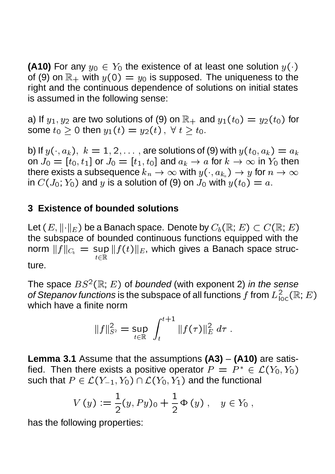**(A10)** For any  $y_0 \in Y_0$  the existence of at least one solution  $y(\cdot)$ of (9) on  $\mathbb{R}_+$  with  $y(0) = y_0$  is supposed. The uniqueness to the right and the continuous dependence of solutions on initial states is assumed in the following sense:

a) If  $y_1,y_2$  are two solutions of (9) on  $\mathbb{R}_+$  and  $y_1(t_0)=y_2(t_0)$  for some  $t_0\geq 0$  then  $y_1(t)=y_2(t)\,,\;\forall\;t\geq t_0.$ 

b) If  $y(\cdot,a_k),\;k=1,2,\ldots$  , are solutions of (9) with  $y(t_0,a_k)=a_k$ on  $J_0=[t_0,t_1]$  or  $J_0=[t_1,t_0]$  and  $a_k\rightarrow a$  for  $k\rightarrow\infty$  in  $Y_0$  then there exists a subsequence  $k_n\to\infty$  with  $y(\cdot,a_{k_n})\to y$  for  $n\to\infty$ in  $C(J_0; Y_0)$  and y is a solution of (9) on  $J_0$  with  $y(t_0) = a$ .

## **3 Existence of bounded solutions**

Let  $(E, \|\cdot\|_E)$  be a Banach space. Denote by  $C_b(\mathbb{R}; E) \subset C(\mathbb{R}; E)$ the subspace of bounded continuous functions equipped with the norm  $\|f\|_{C_b}\,=\,$  sup  $\|f(t)\|_E$ , which gives a Banach space struc- ture.

The space  $BS^2(\mathbb{R}; E)$  of *bounded* (with exponent 2) *in the sense of Stepanov functions* is the subspace of all functions  $f$  from  $L^2_{\text{loc}}(\mathbb R; E)$ which have a finite norm

$$
||f||_{S^2}^2 = \sup_{t \in \mathbb{R}} \int_t^{t+1} ||f(\tau)||_E^2 d\tau.
$$

**Lemma 3.1** Assume that the assumptions **(A3)** – **(A10)** are satisfied. Then there exists a positive operator  $P = P^* \in \mathcal{L}(Y_0, Y_0)$ such that  $P\in \mathcal{L}(Y_{-1},Y_0)\cap \mathcal{L}(Y_0,Y_1)$  and the functional

$$
V(y) := \frac{1}{2}(y, Py)_0 + \frac{1}{2} \Phi(y), \quad y \in Y_0,
$$

has the following properties: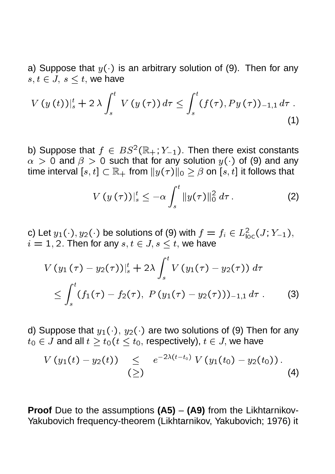a) Suppose that  $y(\cdot)$  is an arbitrary solution of (9). Then for any  $s, t \in J$ ,  $s \leq t$ , we have

$$
V(y(t))|_{s}^{t}+2\lambda \int_{s}^{t} V(y(\tau)) d\tau \leq \int_{s}^{t} (f(\tau), Py(\tau))_{-1,1} d\tau .
$$
\n(1)

b) Suppose that  $f \in BS^2(\mathbb{R}_+; Y_{-1})$ . Then there exist constants  $\alpha > 0$  and  $\beta > 0$  such that for any solution  $y(\cdot)$  of (9) and any time interval  $[s,t]\subset\mathbb{R}_+$  from  $\|y(\tau)\|_0\geq \beta$  on  $[s,t]$  it follows that

$$
V\left(y\left(\tau\right)\right)|_{s}^{t} \leq -\alpha \int_{s}^{t} \|y(\tau)\|_{0}^{2} d\tau . \tag{2}
$$

c) Let  $y_1(\cdot),y_2(\cdot)$  be solutions of (9) with  $f=f_i\in L^2_{\text{loc}}(J;Y_{-1}),$  $i = 1, 2$ . Then for any  $s, t \in J$ ,  $s < t$ , we have

$$
V(y_1(\tau) - y_2(\tau))|_{s}^{t} + 2\lambda \int_{s}^{t} V(y_1(\tau) - y_2(\tau)) d\tau
$$
  
\$\leq \int\_{s}^{t} (f\_1(\tau) - f\_2(\tau), P(y\_1(\tau) - y\_2(\tau)))\_{-1,1} d\tau. \qquad (3)\$

d) Suppose that  $y_1(\cdot),\,y_2(\cdot)$  are two solutions of (9) Then for any  $t_0 \in J$  and all  $t > t_0$  ( $t < t_0$ , respectively),  $t \in J$ , we have

$$
V(y_1(t) - y_2(t)) \leq e^{-2\lambda(t-t_0)} V(y_1(t_0) - y_2(t_0)).
$$
\n(4)

**Proof** Due to the assumptions **(A5)** – **(A9)** from the Likhtarnikov-Yakubovich frequency-theorem (Likhtarnikov, Yakubovich; 1976) it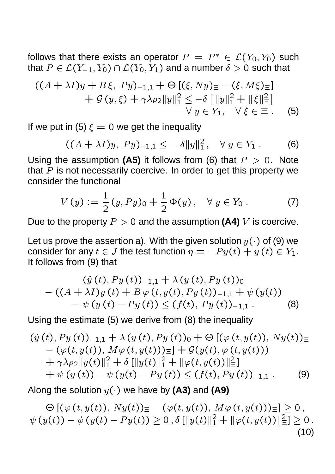follows that there exists an operator  $P = P^* \in \mathcal{L}(Y_0, Y_0)$  such that  $P\in \mathcal{L}(Y_{-1},Y_0)\cap \mathcal{L}(Y_0,Y_1)$  and a number  $\delta>0$  such that

$$
((A + \lambda I)y + B\xi, Py)_{-1,1} + \Theta [(\xi, Ny)_{\Xi} - (\xi, M\xi)_{\Xi}] + \mathcal{G}(y, \xi) + \gamma \lambda \rho_2 ||y||_1^2 \le -\delta [||y||_1^2 + ||\xi||_{\Xi}^2] \forall y \in Y_1, \quad \forall \xi \in \Xi.
$$
 (5)

If we put in (5)  $\xi = 0$  we get the inequality

$$
((A + \lambda I)y, Py)_{-1,1} \leq -\delta ||y||_1^2, \quad \forall y \in Y_1.
$$
 (6)

Using the assumption (A5) it follows from (6) that  $P > 0$ . Note that  $P$  is not necessarily coercive. In order to get this property we consider the functional

$$
V(y) := \frac{1}{2} (y, Py)_0 + \frac{1}{2} \Phi(y), \quad \forall y \in Y_0.
$$
 (7)

Due to the property  $P > 0$  and the assumption **(A4)** V is coercive.

Let us prove the assertion a). With the given solution  $y(\cdot)$  of (9) we consider for any  $t\in J$  the test function  $\eta=-Py(t)+y(t)\in Y_1.$ It follows from (9) that

$$
(y(t), Py(t))_{-1,1} + \lambda (y(t), Py(t))_0
$$
  
- ((A + \lambda I)y(t) + B\varphi (t, y(t), Py(t))\_{-1,1} + \psi (y(t))  
- \psi (y(t) - Py(t)) \le (f(t), Py(t))\_{-1,1}. (8)

Using the estimate (5) we derive from (8) the inequality

$$
(y(t), Py(t))_{-1,1} + \lambda (y(t), Py(t))_0 + \Theta [(\varphi (t, y(t)), Ny(t))_{\equiv}-(\varphi (t, y(t)), M\varphi (t, y(t)))_{\equiv}] + \mathcal{G}(y(t), \varphi (t, y(t)))+\gamma\lambda\rho_2||y(t)||_1^2 + \delta [||y(t)||_1^2 + ||\varphi (t, y(t))||_{\equiv}^2]+\psi (y(t)) - \psi (y(t) - Py(t)) \le (f(t), Py(t))_{-1,1}. (9)
$$

Along the solution  $y(\cdot)$  we have by (A3) and (A9)

$$
\Theta\left[\left(\varphi\left(t,y(t)\right),\,Ny(t)\right)_{\equiv}-\left(\varphi(t,y(t)),\,M\varphi\left(t,y(t)\right)\right)_{\equiv}\right]\geq 0\,,\\ \psi\left(y(t)\right)-\psi\left(y(t)-Py(t)\right)\geq 0\,,\delta\left[\|y(t)\|_{1}^{2}+\|\varphi(t,y(t))\|_{\equiv}^{2}\right]\geq 0\,.\tag{10}
$$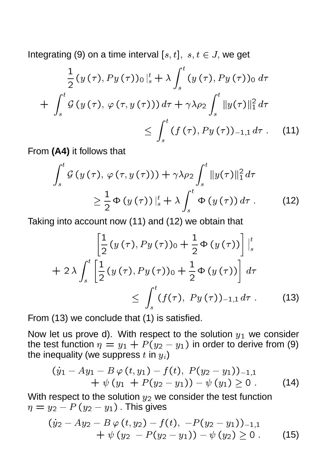Integrating (9) on a time interval  $[s, t]$ ,  $s, t \in J$ , we get

$$
\frac{1}{2} (y(\tau), Py(\tau))_0 \Big|_s^t + \lambda \int_s^t (y(\tau), Py(\tau))_0 d\tau
$$
  
+ 
$$
\int_s^t \mathcal{G} (y(\tau), \varphi(\tau, y(\tau))) d\tau + \gamma \lambda \rho_2 \int_s^t \|y(\tau)\|_1^2 d\tau
$$
  

$$
\leq \int_s^t (f(\tau), Py(\tau))_{-1,1} d\tau . \quad (11)
$$

From **(A4)** it follows that

$$
\int_{s}^{t} \mathcal{G}\left(y\left(\tau\right), \varphi\left(\tau, y\left(\tau\right)\right)\right) + \gamma \lambda \rho_{2} \int_{s}^{t} \|y(\tau)\|_{1}^{2} d\tau
$$
\n
$$
\geq \frac{1}{2} \Phi\left(y\left(\tau\right)\right) \big|_{s}^{t} + \lambda \int_{s}^{t} \Phi\left(y\left(\tau\right)\right) d\tau \,. \tag{12}
$$

Taking into account now (11) and (12) we obtain that

$$
\left[\frac{1}{2}(y(\tau), Py(\tau))_0 + \frac{1}{2}\Phi(y(\tau))\right]_s^t
$$
  
+ 2\lambda  $\int_s^t \left[\frac{1}{2}(y(\tau), Py(\tau))_0 + \frac{1}{2}\Phi(y(\tau))\right] d\tau$   
 $\leq \int_s^t (f(\tau), Py(\tau))_{-1,1} d\tau$ . (13)

From (13) we conclude that (1) is satisfied.

Now let us prove d). With respect to the solution  $y_1$  we consider the test function  $\eta = y_1 + P(y_2 - y_1)$  in order to derive from (9) the inequality (we suppress  $t$  in  $y_i$ )

$$
(y_1 - Ay_1 - B\varphi(t, y_1) - f(t), P(y_2 - y_1))_{-1,1} + \psi(y_1 + P(y_2 - y_1)) - \psi(y_1) \ge 0.
$$
 (14)

With respect to the solution  $y_2$  we consider the test function  $\eta = y_2 - P\left( y_2 - y_1 \right)$  . This gives

$$
(y_2 - Ay_2 - B\varphi(t, y_2) - f(t), -P(y_2 - y_1))_{-1,1} + \psi(y_2 - P(y_2 - y_1)) - \psi(y_2) \ge 0.
$$
 (15)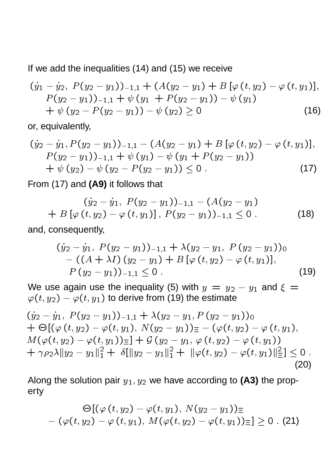If we add the inequalities (14) and (15) we receive

$$
(y_1 - y_2, P(y_2 - y_1))_{-1,1} + (A(y_2 - y_1) + B[\varphi(t, y_2) - \varphi(t, y_1)],
$$
  
\n
$$
P(y_2 - y_1))_{-1,1} + \psi(y_1 + P(y_2 - y_1)) - \psi(y_1)
$$
  
\n
$$
+ \psi(y_2 - P(y_2 - y_1)) - \psi(y_2) \ge 0
$$
\n(16)

or, equivalently,

$$
(y_2 - y_1, P(y_2 - y_1))_{-1,1} - (A(y_2 - y_1) + B[\varphi(t, y_2) - \varphi(t, y_1)],
$$
  
\n
$$
P(y_2 - y_1))_{-1,1} + \psi(y_1) - \psi(y_1 + P(y_2 - y_1))
$$
  
\n
$$
+ \psi(y_2) - \psi(y_2 - P(y_2 - y_1)) \le 0.
$$
\n(17)

From (17) and **(A9)** it follows that

$$
(y_2 - y_1, P(y_2 - y_1))_{-1,1} - (A(y_2 - y_1)) + B[\varphi(t, y_2) - \varphi(t, y_1)], P(y_2 - y_1))_{-1,1} \leq 0.
$$
 (18)

and, consequently,

$$
(y_2 - \dot{y}_1, P(y_2 - y_1))_{-1,1} + \lambda (y_2 - y_1, P(y_2 - y_1))_0 - ((A + \lambda I) (y_2 - y_1) + B [\varphi (t, y_2) - \varphi (t, y_1)],
$$
  
P (y\_2 - y\_1))\_{-1,1} \le 0. (19)

We use again use the inequality (5) with  $y\,=\,y_{\,2}\,-\,y_{\,1}$  and  $\xi\,=\,$  $\varphi(t,y_2)-\varphi(t,y_1)$  to derive from (19) the estimate

$$
(y_2 - y_1, P(y_2 - y_1))_{-1,1} + \lambda (y_2 - y_1, P(y_2 - y_1))_0 + \Theta[(\varphi(t, y_2) - \varphi(t, y_1), N(y_2 - y_1))_{\equiv} - (\varphi(t, y_2) - \varphi(t, y_1), M(\varphi(t, y_2) - \varphi(t, y_1))_{\equiv}] + \mathcal{G}(y_2 - y_1, \varphi(t, y_2) - \varphi(t, y_1)) + \gamma \rho_2 \lambda ||y_2 - y_1||_1^2 + \delta[||y_2 - y_1||_1^2 + ||\varphi(t, y_2) - \varphi(t, y_1)||_2^2] \le 0.
$$
\n(20)

Along the solution pair  $y_1, y_2$  we have according to  $(A3)$  the property

$$
\Theta[(\varphi(t,y_2)-\varphi(t,y_1),\,N(y_2-y_1))_{\equiv}\\-\ (\varphi(t,y_2)-\varphi(t,y_1),\,M(\varphi(t,y_2)-\varphi(t,y_1))_{\equiv}]\geq 0\;.\text{ (21)}
$$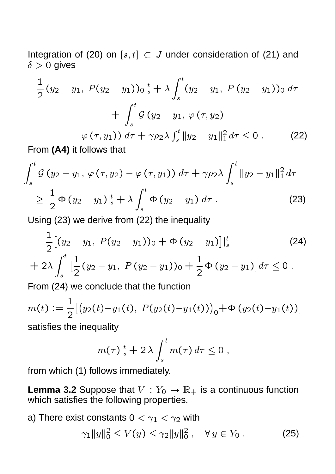Integration of (20) on  $[s, t] \subset J$  under consideration of (21) and  $\delta > 0$  gives

$$
\frac{1}{2}(y_2 - y_1, P(y_2 - y_1))_0|_s^t + \lambda \int_s^t (y_2 - y_1, P(y_2 - y_1))_0 d\tau \n+ \int_s^t \mathcal{G}(y_2 - y_1, \varphi(\tau, y_2)) \n- \varphi(\tau, y_1)) d\tau + \gamma \rho_2 \lambda \int_s^t ||y_2 - y_1||_1^2 d\tau \le 0.
$$
\n(22)

From **(A4)** it follows that

$$
\int_{s}^{t} \mathcal{G} (y_{2} - y_{1}, \varphi (\tau, y_{2}) - \varphi (\tau, y_{1})) d\tau + \gamma \rho_{2} \lambda \int_{s}^{t} \|y_{2} - y_{1}\|_{1}^{2} d\tau
$$
\n
$$
\geq \frac{1}{2} \Phi (y_{2} - y_{1})\|_{s}^{t} + \lambda \int_{s}^{t} \Phi (y_{2} - y_{1}) d\tau . \tag{23}
$$

Using (23) we derive from (22) the inequality

$$
\frac{1}{2}[(y_2-y_1, P(y_2-y_1))_0 + \Phi (y_2-y_1)]|_s^t
$$
 (24)

$$
+ 2\lambda \int_s^t \left[\frac{1}{2}(y_2 - y_1, P(y_2 - y_1))_0 + \frac{1}{2}\Phi(y_2 - y_1)\right] d\tau \leq 0.
$$

From (24) we conclude that the function

$$
m(t) := \frac{1}{2} \big[ \big( y_2(t) - y_1(t), \ P(y_2(t) - y_1(t)) \big)_0 + \Phi \big( y_2(t) - y_1(t) \big) \big]
$$

satisfies the inequality

$$
m(\tau)|_s^t + 2\,\lambda \int_s^t m(\tau)\,d\tau \leq 0\;,
$$

from which (1) follows immediately.

**Lemma 3.2** Suppose that  $V: Y_0 \to \mathbb{R}_+$  is a continuous function which satisfies the following properties.

a) There exist constants  $0<\gamma_1<\gamma_2$  with

$$
\gamma_1 \|y\|_0^2 \le V(y) \le \gamma_2 \|y\|_0^2 \,, \quad \forall \, y \in Y_0 \,.
$$
 (25)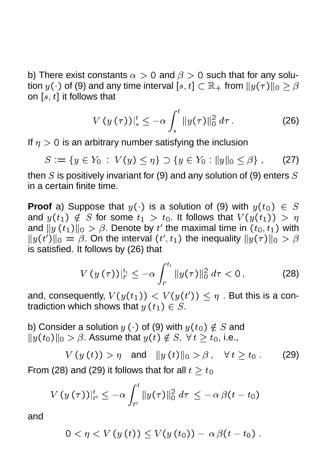b) There exist constants  $\alpha > 0$  and  $\beta > 0$  such that for any solution  $y(\cdot)$  of (9) and any time interval  $[s,t]\subset \mathbb{R}_+$  from  $\|y(\tau)\|_0\geq \beta$ on  $\left[ s,t\right]$  it follows that

$$
V\left(y\left(\tau\right)\right)|_{s}^{t} \leq -\alpha \int_{s}^{t} \|y(\tau)\|_{0}^{2} d\tau . \tag{26}
$$

If  $\eta > 0$  is an arbitrary number satisfying the inclusion

$$
S := \{ y \in Y_0 : V(y) \leq \eta \} \supset \{ y \in Y_0 : ||y||_0 \leq \beta \}, \qquad (27)
$$

then  $S$  is positively invariant for (9) and any solution of (9) enters  $S$ in a certain finite time.

**Proof** a) Suppose that  $y(\cdot)$  is a solution of (9) with  $y(t_0) \in S$ and  $y(t_1) \notin S$  for some  $t_1 > t_0.$  It follows that  $V(y(t_1)) > \eta$ and  $\|y\left(t_1\right)\|_0>\beta.$  Denote by  $t'$  the maximal time in  $\left(t_0,t_1\right)$  with  $||y(t')||_0 = \beta$ . On the interval  $(t', t_1)$  the inequality  $||y(\tau)||_0 > \beta$ is satisfied. It follows by (26) that

$$
V(y(\tau))|_{t'}^{t_1} \leq -\alpha \int_{t'}^{t_1} ||y(\tau)||_0^2 d\tau < 0, \qquad (28)
$$

and, consequently,  $V(y(t_1)) < V(y(t')) \leq \eta$  . But this is a contradiction which shows that  $y\left( t_{1}\right) \in S.$ 

b) Consider a solution  $y(\cdot)$  of (9) with  $y(t_0) \notin S$  and  $||y(t_0)||_0 > \beta$ . Assume that  $y(t) \notin S$ ,  $\forall t \geq t_0$ , i.e.,

$$
V(y(t)) > \eta \quad \text{and} \quad ||y(t)||_0 > \beta \,, \quad \forall t \ge t_0 \,.
$$
 (29)

From (28) and (29) it follows that for all  $t \geq t_0$ 

$$
V\left(y\left(\tau\right)\right)|_{t^0}^t \leq -\alpha \int_{t^0}^t \|y(\tau)\|_0^2 \ d\tau \ \leq -\ \alpha \, \beta(t-t_0)
$$

and

$$
0<\eta
$$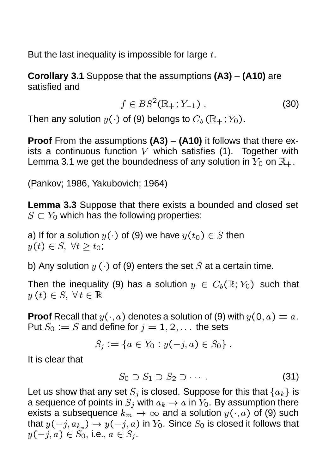But the last inequality is impossible for large  $t$ .

**Corollary 3.1** Suppose that the assumptions **(A3)** – **(A10)** are satisfied and

$$
f \in BS^2(\mathbb{R}_+; Y_{-1}) . \tag{30}
$$

Then any solution  $y(\cdot)$  of (9) belongs to  $C_b(\mathbb{R}_+; Y_0)$ .

**Proof** From the assumptions **(A3)** – **(A10)** it follows that there exists a continuous function V which satisfies (1). Together with Lemma 3.1 we get the boundedness of any solution in  $Y_0$  on  $\mathbb{R}_+$ .

(Pankov; 1986, Yakubovich; 1964)

**Lemma 3.3** Suppose that there exists a bounded and closed set  $S \subset Y_0$  which has the following properties:

a) If for a solution  $y(\cdot)$  of (9) we have  $y(t_0) \in S$  then  $y(t) \in S, \forall t > t_0;$ 

b) Any solution  $y(\cdot)$  of (9) enters the set S at a certain time.

Then the inequality (9) has a solution  $y \in C_b(\mathbb{R}; Y_0)$  such that  $y(t) \in S, \forall t \in \mathbb{R}$ 

**Proof** Recall that  $y(\cdot, a)$  denotes a solution of (9) with  $y(0, a) = a$ . Put  $S_0 := S$  and define for  $j = 1, 2, \ldots$  the sets

$$
S_j := \{ a \in Y_0 : y(-j, a) \in S_0 \} .
$$

It is clear that

$$
S_0 \supset S_1 \supset S_2 \supset \cdots \tag{31}
$$

Let us show that any set  ${S}_j$  is closed. Suppose for this that  $\{a_k\}$  is a sequence of points in  ${S}_j$  with  $a_k\to a$  in  $Y_0.$  By assumption there exists a subsequence  $k_m\to\infty$  and a solution  $y(\cdot,a)$  of (9) such that  $y(-j,a_{k_m})\to y(-j,a)$  in  $Y_0.$  Since  $S_0$  is closed it follows that  $y(-j, a) \in S_0$ , i.e.,  $a \in S_j$ .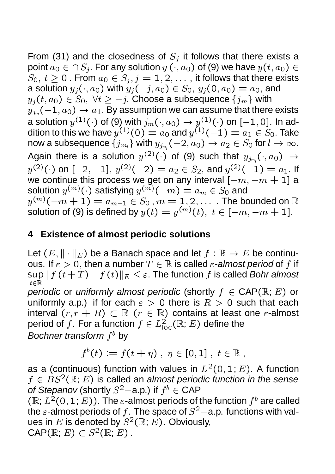From (31) and the closedness of  $S_i$  it follows that there exists a point  $a_0 \in \bigcap S_j$ . For any solution  $y(\cdot, a_0)$  of (9) we have  $y(t, a_0) \in$  $S_0, t \geq 0$ . From  $a_0 \in S_j, j = 1, 2, \ldots$ , it follows that there exists a solution  $y_j(\cdot, a_0)$  with  $y_j(-j, a_0) \in S_0$ ,  $y_j(0, a_0) = a_0$ , and  $y_j(t, a_0) \in S_0, \ \forall t \geq -j$ . Choose a subsequence  $\{j_m\}$  with  $y_{j_m}(-1,a_0) \rightarrow a_1.$  By assumption we can assume that there exists a solution  $y^{(1)}(\cdot)$  of (9) with  $j_m(\cdot,a_0)\rightarrow y^{(1)}(\cdot)$  on  $[-1,0].$  In addition to this we have  $y^{(1)}(0)=a_0$  and  $y^{(1)}(-1)=a_1\in S_0.$  Take now a subsequence  $\{ j_{m_l} \}$  with  $y_{j_{m_l}}(-2, a_0) \rightarrow a_2 \in S_0$  for  $l \rightarrow \infty.$ Again there is a solution  $y^{(2)}(\cdot)$  of (9) such that  $y_{j_{m}}(\cdot,a_0) \rightarrow$  $y^{(2)}(\cdot)$  on  $[-2,-1],$   $y^{(2)}(-2)=a_2\in S_2,$  and  $y^{(2)}(-1)=a_1.$  If we continue this process we get on any interval  $\left[-m,-m+1\right]$  a solution  $y^{(m)}(\cdot)$  satisfying  $y^{(m)}(-m) = a_m \in S_0$  and  $y^{(m)}(-m+1)=a_{m-1}\in S_0$  ,  $m=1,2,\ldots$  . The bounded on  $\mathbb R$ solution of (9) is defined by  $y(t)=y^{(m)}(t),\ t\in [-m,-m+1].$ 

## **4 Existence of almost periodic solutions**

Let  $(E, \|\cdot\|_E)$  be a Banach space and let  $f:\mathbb{R}\rightarrow E$  be continuous. If  $\varepsilon > 0,$  then a number  $T \in \mathbb{R}$  is called  $\varepsilon$ -*almost period* of  $f$  if  $\sup\|f\left(t+T\right)-f\left(t\right)\|_{E}\leq\varepsilon.$  The function  $f$  is called *Bohr almost periodic* or *uniformly almost periodic* (shortly  $f \in \mathsf{CAP}(\mathbb{R}; E)$  or uniformly a.p.) if for each  $\epsilon > 0$  there is  $R > 0$  such that each interval  $(r, r + R) \subset \mathbb{R}$   $(r \in \mathbb{R})$  contains at least one  $\varepsilon$ -almost period of  $f.$  For a function  $f\in L^2_{\text{\rm loc}}(\mathbb{R};E)$  define the *Bochner transform*  $f^b$  *by* 

$$
f^b(t) \mathrel{\mathop:}= f(t+\eta) \ , \ \eta \in [0,1] \ , \ t \in \mathbb{R} \ ,
$$

as a (continuous) function with values in  $L^2(0,1;E)$ . A function  $f \in BS^2(\mathbb{R}; E)$  is called an *almost periodic function in the sense of Stepanov* (shortly  $S^2$ –a.p.) if  $f^b \in \text{CAP}$ 

 $(\mathbb{R}; L^2(0,1; E))$ . The  $\varepsilon$ -almost periods of the function  $f^b$  are called the  $\varepsilon$ -almost periods of f. The space of  $S^2$ -a.p. functions with values in E is denoted by  $S^2(\mathbb{R}; E)$ . Obviously,  $\mathsf{CAP}(\mathbb{R}; E) \subset S^2(\mathbb{R}; E)$ .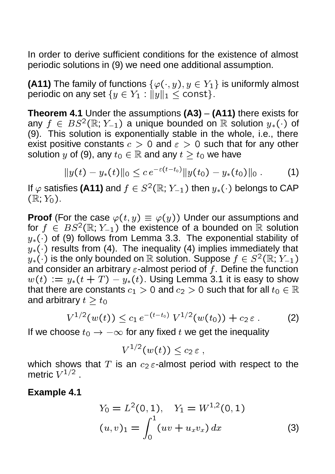In order to derive sufficient conditions for the existence of almost periodic solutions in (9) we need one additional assumption.

**(A11)** The family of functions  $\{\varphi(\cdot,y), y \in Y_1\}$  is uniformly almost periodic on any set  $\{y \in Y_1: \|y\|_1 \le \text{\texttt{const}}\}.$ 

**Theorem 4.1** Under the assumptions **(A3)** – **(A11)** there exists for any  $f\, \in\, BS^2(\mathbb{R};\, Y_{-1})$  a unique bounded on  $\mathbb R$  solution  $y_*(\cdot)$  of (9). This solution is exponentially stable in the whole, i.e., there exist positive constants  $c > 0$  and  $\epsilon > 0$  such that for any other solution y of (9), any  $t_0 \in \mathbb{R}$  and any  $t > t_0$  we have

$$
||y(t)-y_*(t)||_0 \leq c e^{-\varepsilon (t-t_0)} ||y(t_0)-y_*(t_0)||_0.
$$
 (1)

If  $\varphi$  satisfies (A11) and  $f \in S^2(\mathbb{R};Y_{-1})$  then  $y_*(\cdot)$  belongs to CAP  $(\mathbb{R}; Y_0).$ 

**Proof** (For the case  $\varphi(t, y) \equiv \varphi(y)$ ) Under our assumptions and for  $f \in BS^2(\mathbb{R}; Y_{-1})$  the existence of a bounded on  $\mathbb R$  solution  $y_*(\cdot)$  of (9) follows from Lemma 3.3. The exponential stability of  $y_*(\cdot)$  results from (4). The inequality (4) implies immediately that  $y_*(\cdot)$  is the only bounded on  $\mathbb R$  solution. Suppose  $f\in S^{\,2}(\mathbb R; \, Y_{-1})$ and consider an arbitrary  $\varepsilon$ -almost period of f. Define the function  $w(t) \,:=\, y_*(t+T) - y_*(t).$  Using Lemma 3.1 it is easy to show that there are constants  $c_1>0$  and  $c_2>0$  such that for all  $t_0\in\mathbb{R}$ and arbitrary  $t \geq t_0$ 

$$
V^{1/2}(w(t)) \le c_1 e^{-(t-t_0)} V^{1/2}(w(t_0)) + c_2 \varepsilon.
$$
 (2)

If we choose  $t_0 \rightarrow -\infty$  for any fixed  $t$  we get the inequality

$$
V^{1/2}(w(t))\le c_2\,\varepsilon\ ,
$$

which shows that  $T$  is an  $c_2 \varepsilon$ -almost period with respect to the metric  $V^{1/2}$  .

**Example 4.1**

$$
Y_0 = L^2(0, 1), \quad Y_1 = W^{1,2}(0, 1)
$$
  

$$
(u, v)_1 = \int_0^1 (uv + u_x v_x) dx
$$
 (3)